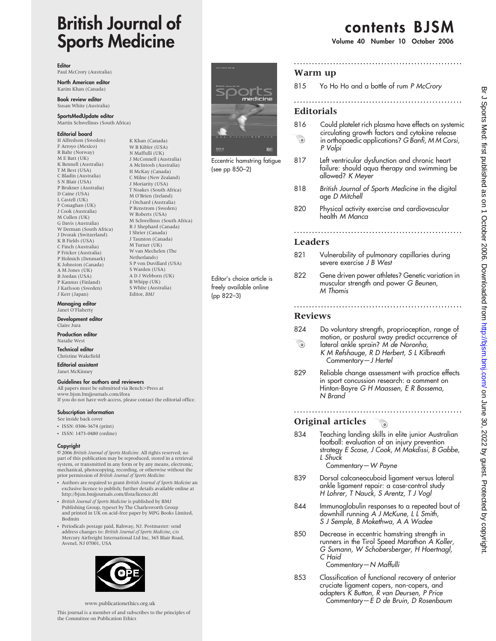# British Journal of Sports Medicine

K Khan (Canada) W B Kibler (USA) N Maffulli (UK) J McConnell (Australia) A McIntosh (Australia) H McKay (Canada) C Milne (New Zealand) J Moriarity (USA) T Noakes (South Africa) M O'Brien (Ireland) J Orchard (Australia) P Renstrom (Sweden) W Roberts (USA) M Schwellnus (South Africa) R J Shephard (Canada) I Shrier (Canada) J Taunton (Canada) M Turner (UK) W van Mechelen (The Netherlands) S P von Duvillard (USA) S Warden (USA) A D J Webborn (UK) B Whipp (UK) S White (Australia) Editor, BMJ

Editor

Paul McCrory (Australia)

North American editor Karim Khan (Canada)

Book review editor Susan White (Australia)

SportsMedUpdate editor Martin Schwellnus (South Africa)

#### Editorial board

H Alfredson (Sweden) F Arroyo (Mexico) R Bahr (Norway) M E Batt (UK) K Bennell (Australia) T M Best (USA) C Bladin (Australia) S N Blair (USA) P Brukner (Australia) D Caine (USA) L Castell (UK) P Conaghan (UK) J Cook (Australia) M Cullen (UK) G Davis (Australia) W Derman (South Africa) J Dvorak (Switzerland) K B Fields (USA) C Finch (Australia) P Fricker (Australia) P Holmich (Denmark) K Johnston (Canada) A M Jones (IIK) B Jordan (USA) P Kannus (Finland) J Karlsson (Sweden) J Kerr (Japan)

**Managing editor**<br>Janet O'Flaherty

Development editor Claire Jura

#### Production editor Natalie West

Technical editor Christine Wakefield

Editorial assistant Janet McKinney

# Guidelines for authors and reviewers

All papers must be submitted via Bench>Press at www.bjsm.bmjjournals.com/ifora If you do not have web access, please contact the editorial office.

#### Subscription information

- See inside back cover
- $\cdot$  ISSN: 0306-3674 (print)
- ISSN: 1473-0480 (online)

#### Copyright

E 2006 British Journal of Sports Medicine. All rights reserved; no part of this publication may be reproduced, stored in a retrieval system, or transmitted in any form or by any means, electronic, mechanical, photocopying, recording, or otherwise without the prior permission of British Journal of Sports Medicine.

- Authors are required to grant British Journal of Sports Medicine an exclusive licence to publish; further details available online at http://bjsm.bmjjournals.com/ifora/licence.dtl
- British Journal of Sports Medicine is published by BMJ Publishing Group, typeset by The Charlesworth Group and printed in UK on acid-free paper by MPG Books Limited, Bodmin
- Periodicals postage paid, Rahway, NJ. Postmaster: send address changes to: British Journal of Sports Medicine, c/o Mercury Airfreight International Ltd Inc, 365 Blair Road, Avenel, NJ 07001, USA



www.publicationethics.org.uk

This journal is a member of and subscribes to the principles of the Committee on Publication Ethics



Eccentric hamstring fatigue (see pp 850–2)

Editor's choice article is freely available online

(pp 822–3)

contents BJSM

Volume 40 Number 10 October 2006

### Warm up

815 Yo Ho Ho and a bottle of rum P McCrory

........................................................

........................................................

### **Editorials**

- 816 Could platelet rich plasma have effects on systemic circulating growth factors and cytokine release  $\odot$ in orthopaedic applications? G Banfi, M M Corsi, P Volpi
- 817 Left ventricular dysfunction and chronic heart failure: should aqua therapy and swimming be allowed? K Meyer
- 818 British Journal of Sports Medicine in the digital age D Mitchell
- 820 Physical activity exercise and cardiovascular health M Manca

........................................................

### Leaders

- 821 Vulnerability of pulmonary capillaries during severe exercise J B West
- 822 Gene driven power athletes? Genetic variation in muscular strength and power G Beunen, M Thomis

........................................................

# Reviews

- 824 Do voluntary strength, proprioception, range of motion, or postural sway predict occurrence of
- $\odot$ lateral ankle sprain? M de Noronha, K M Refshauge, R D Herbert, S L Kilbreath Commentary—J Hertel
- 829 Reliable change assessment with practice effects in sport concussion research: a comment on Hinton-Bayre G H Maassen, E R Bossema, N Brand

........................................................

#### Original articles  $\bullet$

834 Teaching landing skills in elite junior Australian football: evaluation of an injury prevention strategy E Scase, J Cook, M Makdissi, B Gabbe, L Shuck

Commentary—W Payne

- 839 Dorsal calcaneocuboid ligament versus lateral ankle ligament repair: a case-control study H Lohrer, T Nauck, S Arentz, T J Vogl
- 844 Immunoglobulin responses to a repeated bout of downhill running A J McKune, L L Smith, S J Semple, B Mokethwa, A A Wadee
- 850 Decrease in eccentric hamstring strength in runners in the Tirol Speed Marathon A Koller, G Sumann, W Schobersberger, H Hoertnagl, C Haid

Commentary—N Maffulli

853 Classification of functional recovery of anterior cruciate ligament copers, non-copers, and adapters K Button, R van Deursen, P Price Commentary—E D de Bruin, D Rosenbaum